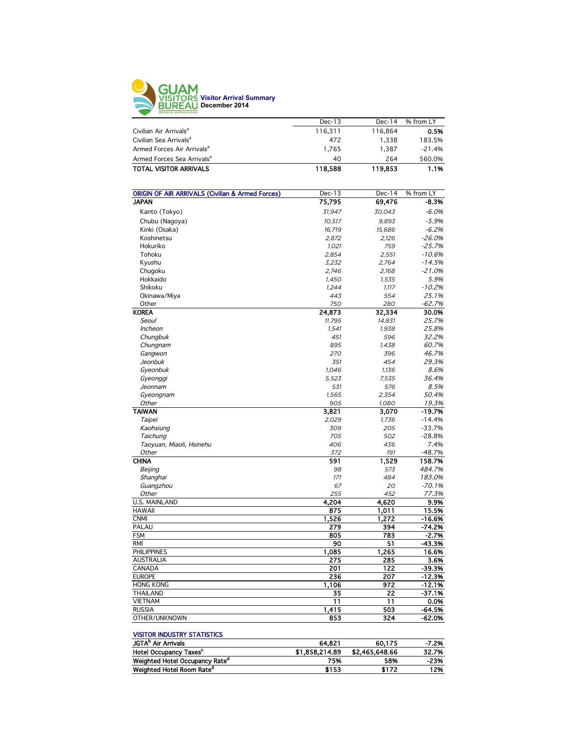

| $Dec-13$ | $Dec-14$ | % from LY |
|----------|----------|-----------|
| 116.311  | 116.864  | 0.5%      |
| 472      | 1.338    | 183.5%    |
| 1.765    | 1.387    | $-21.4%$  |
| 40       | 264      | 560.0%    |
| 118,588  | 119,853  | 1.1%      |
|          |          |           |

| <b>ORIGIN OF AIR ARRIVALS (Civilian &amp; Armed Forces)</b> | Dec-13 | Dec-14 | % from LY |
|-------------------------------------------------------------|--------|--------|-----------|
| <b>JAPAN</b>                                                | 75,795 | 69,476 | $-8.3%$   |
| Kanto (Tokyo)                                               | 31,947 | 30,043 | $-6.0%$   |
| Chubu (Nagoya)                                              | 10.517 | 9.893  | $-5.9%$   |
| Kinki (Osaka)                                               | 16,719 | 15,686 | $-6.2%$   |
| Koshinetsu                                                  | 2,872  | 2,126  | $-26.0%$  |
| Hokuriko                                                    | 1.021  | 759    | $-25.7%$  |
| Tohoku                                                      | 2,854  | 2,551  | $-10.6%$  |
| Kyushu                                                      | 3,232  | 2,764  | $-14.5%$  |
| Chugoku                                                     | 2.746  | 2,168  | $-21.0%$  |
| Hokkaido                                                    | 1,450  | 1,535  | 5.9%      |
| Shikoku                                                     | 1,244  | 1,117  | $-10.2%$  |
| Okinawa/Miya                                                | 443    | 554    | 25.1%     |
| Other                                                       | 750    | 280    | $-62.7%$  |
| <b>KOREA</b>                                                | 24,873 | 32,334 | 30.0%     |
| Seoul                                                       | 11.795 | 14,831 | 25.7%     |
| <b>Incheon</b>                                              | 1,541  | 1,938  | 25.8%     |
| Chungbuk                                                    | 451    | 596    | 32.2%     |
| Chungnam                                                    | 895    | 1,438  | 60.7%     |
| Gangwon                                                     | 270    | 396    | 46.7%     |
| Jeonbuk                                                     | 351    | 454    | 29.3%     |
| Gyeonbuk                                                    | 1,046  | 1,136  | 8.6%      |
| Gyeonggi                                                    | 5,523  | 7,535  | 36.4%     |
| Jeonnam                                                     | 531    | 576    | 8.5%      |
| Gyeongnam                                                   | 1,565  | 2,354  | 50.4%     |
| Other                                                       | 905    | 1,080  | 19.3%     |
| <b>TAIWAN</b>                                               | 3,821  | 3,070  | $-19.7%$  |
| Taipei                                                      | 2,029  | 1,736  | $-14.4%$  |
| Kaohsiung                                                   | 309    | 205    | $-33.7%$  |
| Taichung                                                    | 705    | 502    | $-28.8%$  |
| Taoyuan, Miaoli, Hsinehu                                    | 406    | 436    | 7.4%      |
| Other                                                       | 372    | 191    | $-48.7%$  |
| <b>CHINA</b>                                                | 591    | 1,529  | 158.7%    |
| Beijing                                                     | 98     | 573    | 484.7%    |
| Shanghai                                                    | 171    | 484    | 183.0%    |
| Guangzhou                                                   | 67     | 20     | $-70.1%$  |
| Other                                                       | 255    | 452    | 77.3%     |
| <b>U.S. MAINLAND</b>                                        | 4,204  | 4,620  | 9.9%      |
| <b>HAWAII</b>                                               | 875    | 1,011  | 15.5%     |
| <b>CNMI</b>                                                 | 1,526  | 1,272  | $-16.6%$  |
| <b>PALAU</b>                                                | 279    | 394    | $-74.2%$  |
| <b>FSM</b>                                                  | 805    | 783    | $-2.7%$   |
| <b>RMI</b>                                                  | 90     | 51     | $-43.3%$  |
| <b>PHILIPPINES</b>                                          | 1,085  | 1,265  | 16.6%     |
| <b>AUSTRALIA</b>                                            | 275    | 285    | 3.6%      |
| CANADA                                                      | 201    | 122    | $-39.3%$  |
| <b>EUROPE</b>                                               | 236    | 207    | $-12.3%$  |
| <b>HONG KONG</b>                                            | 1,106  | 972    | $-12.1%$  |
| <b>THAILAND</b>                                             | 35     | 22     | $-37.1%$  |
| <b>VIETNAM</b>                                              | 11     | 11     | 0.0%      |
| <b>RUSSIA</b>                                               | 1,415  | 503    | $-64.5%$  |
| OTHER/UNKNOWN                                               | 853    | 324    | -62.0%    |
|                                                             |        |        |           |

#### VISITOR INDUSTRY STATISTICS

| JGTA <sup>b</sup> Air Arrivals             | 64.821         | 60.175         | $-7.2%$ |
|--------------------------------------------|----------------|----------------|---------|
| Hotel Occupancy Taxes <sup>c</sup>         | \$1,858,214.89 | \$2.465.648.66 | 32.7%   |
| Weighted Hotel Occupancy Rate <sup>a</sup> | 75%            | 58%            | -23%    |
| Weighted Hotel Room Rate <sup>a</sup>      | \$153          | \$172          | 12%     |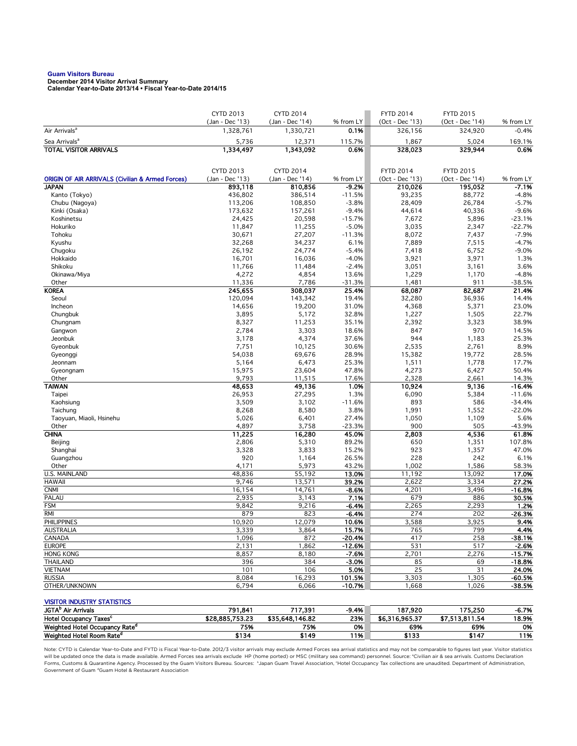# **Guam Visitors Bureau December 2014 Visitor Arrival Summary**

**Calendar Year-to-Date 2013/14 • Fiscal Year-to-Date 2014/15** 

|                                                                      | <b>CYTD 2013</b>             | CYTD 2014                    |                   | <b>FYTD 2014</b>           | <b>FYTD 2015</b>           |                      |
|----------------------------------------------------------------------|------------------------------|------------------------------|-------------------|----------------------------|----------------------------|----------------------|
| Air Arrivals <sup>a</sup>                                            | (Jan - Dec '13)<br>1,328,761 | (Jan - Dec '14)<br>1,330,721 | % from LY<br>0.1% | (Oct - Dec '13)<br>326,156 | (Oct - Dec '14)<br>324,920 | % from LY<br>$-0.4%$ |
| Sea Arrivals <sup>a</sup>                                            | 5,736                        | 12,371                       | 115.7%            | 1,867                      | 5,024                      | 169.1%               |
| <b>TOTAL VISITOR ARRIVALS</b>                                        | 1,334,497                    | 1,343,092                    | 0.6%              | 328,023                    | 329,944                    | 0.6%                 |
|                                                                      |                              |                              |                   |                            |                            |                      |
|                                                                      | <b>CYTD 2013</b>             | <b>CYTD 2014</b>             |                   | <b>FYTD 2014</b>           | <b>FYTD 2015</b>           |                      |
| <b>ORIGIN OF AIR ARRIVALS (Civilian &amp; Armed Forces)</b>          | (Jan - Dec '13)              | (Jan - Dec '14)              | % from LY         | (Oct - Dec '13)            | (Oct - Dec '14)            | % from LY            |
| <b>JAPAN</b>                                                         | 893,118                      | 810,856                      | $-9.2%$           | 210,026                    | 195,052                    | $-7.1%$              |
| Kanto (Tokyo)                                                        | 436,802                      | 386,514                      | $-11.5%$          | 93,235                     | 88,772                     | $-4.8%$              |
| Chubu (Nagoya)                                                       | 113,206                      | 108,850                      | $-3.8%$           | 28,409                     | 26,784                     | $-5.7%$              |
| Kinki (Osaka)                                                        | 173,632                      | 157,261                      | $-9.4%$           | 44,614                     | 40,336                     | $-9.6%$              |
| Koshinetsu                                                           | 24,425                       | 20,598                       | $-15.7%$          | 7,672                      | 5,896                      | $-23.1%$             |
| Hokuriko                                                             | 11,847                       | 11,255                       | $-5.0%$           | 3,035                      | 2,347                      | $-22.7%$             |
| Tohoku                                                               | 30,671                       | 27,207                       | $-11.3%$          | 8,072                      | 7,437                      | $-7.9%$              |
| Kyushu                                                               | 32,268                       | 34,237                       | 6.1%              | 7,889                      | 7,515                      | $-4.7%$              |
| Chugoku                                                              | 26,192                       | 24,774                       | $-5.4%$           | 7,418                      | 6,752                      | $-9.0%$              |
| Hokkaido                                                             | 16,701                       | 16,036                       | $-4.0%$           | 3,921                      | 3,971                      | 1.3%                 |
| Shikoku                                                              | 11,766                       | 11,484                       | $-2.4%$           | 3,051                      | 3,161                      | 3.6%                 |
| Okinawa/Miya                                                         | 4,272                        | 4,854                        | 13.6%             | 1,229                      | 1,170                      | $-4.8%$              |
| Other                                                                | 11,336                       | 7,786                        | $-31.3%$          | 1,481                      | 911                        | $-38.5%$             |
| <b>KOREA</b>                                                         | 245,655                      | 308,037                      | 25.4%<br>19.4%    | 68,087                     | 82,687                     | 21.4%                |
| Seoul<br>Incheon                                                     | 120,094<br>14,656            | 143,342<br>19,200            | 31.0%             | 32,280<br>4,368            | 36,936<br>5,371            | 14.4%<br>23.0%       |
| Chungbuk                                                             | 3,895                        | 5,172                        | 32.8%             | 1,227                      | 1,505                      | 22.7%                |
| Chungnam                                                             | 8,327                        | 11,253                       | 35.1%             | 2,392                      | 3,323                      | 38.9%                |
| Gangwon                                                              | 2,784                        | 3,303                        | 18.6%             | 847                        | 970                        | 14.5%                |
| Jeonbuk                                                              | 3,178                        | 4,374                        | 37.6%             | 944                        | 1,183                      | 25.3%                |
| Gyeonbuk                                                             | 7,751                        | 10,125                       | 30.6%             | 2,535                      | 2,761                      | 8.9%                 |
| Gyeonggi                                                             | 54,038                       | 69,676                       | 28.9%             | 15,382                     | 19,772                     | 28.5%                |
| Jeonnam                                                              | 5,164                        | 6,473                        | 25.3%             | 1,511                      | 1,778                      | 17.7%                |
| Gyeongnam                                                            | 15,975                       | 23,604                       | 47.8%             | 4,273                      | 6,427                      | 50.4%                |
| Other                                                                | 9,793                        | 11,515                       | 17.6%             | 2,328                      | 2,661                      | 14.3%                |
| <b>TAIWAN</b>                                                        | 48,653                       | 49,136                       | 1.0%              | 10,924                     | 9,136                      | $-16.4%$             |
| Taipei                                                               | 26,953                       | 27,295                       | 1.3%              | 6,090                      | 5,384                      | $-11.6%$             |
| Kaohsiung                                                            | 3,509                        | 3,102                        | $-11.6%$          | 893                        | 586                        | $-34.4%$             |
| Taichung                                                             | 8,268                        | 8,580                        | 3.8%              | 1,991                      | 1,552                      | $-22.0%$             |
| Taoyuan, Miaoli, Hsinehu                                             | 5,026                        | 6,401                        | 27.4%             | 1,050                      | 1,109                      | 5.6%                 |
| Other                                                                | 4,897                        | 3,758                        | $-23.3%$          | 900                        | 505                        | $-43.9%$             |
| <b>CHINA</b>                                                         | 11,225                       | 16,280                       | 45.0%             | 2,803                      | 4,536                      | 61.8%                |
| Beijing                                                              | 2,806                        | 5,310                        | 89.2%             | 650                        | 1,351                      | 107.8%               |
| Shanghai                                                             | 3,328                        | 3,833                        | 15.2%             | 923                        | 1,357                      | 47.0%                |
| Guangzhou                                                            | 920                          | 1,164                        | 26.5%<br>43.2%    | 228                        | 242                        | 6.1%                 |
| Other<br><b>U.S. MAINLAND</b>                                        | 4,171<br>48,836              | 5,973<br>55,192              | 13.0%             | 1,002<br>11,192            | 1,586<br>13,092            | 58.3%<br>17.0%       |
| <b>HAWAII</b>                                                        | 9,746                        | 13,571                       | 39.2%             | 2,622                      | 3,334                      | 27.2%                |
| <b>CNMI</b>                                                          | 16,154                       | 14,761                       | $-8.6%$           | 4,201                      | 3,496                      | $-16.8%$             |
| PALAU                                                                | 2,935                        | 3,143                        | 7.1%              | 679                        | 886                        | 30.5%                |
| <b>FSM</b>                                                           | 9,842                        | 9,216                        | $-6.4%$           | 2,265                      | 2,293                      | 1.2%                 |
| RMI                                                                  | 879                          | 823                          | $-6.4%$           | 274                        | 202                        | $-26.3%$             |
| <b>PHILIPPINES</b>                                                   | 10,920                       | 12,079                       | 10.6%             | 3,588                      | 3,925                      | 9.4%                 |
| AUSTRALIA                                                            | 3,339                        | 3,864                        | 15.7%             | 765                        | 799                        | 4.4%                 |
| CANADA                                                               | 1,096                        | 872                          | $-20.4%$          | 417                        | 258                        | $-38.1%$             |
| <b>EUROPE</b>                                                        | 2,131                        | 1,862                        | $-12.6%$          | 531                        | 517                        | $-2.6%$              |
| <b>HONG KONG</b>                                                     | 8,857                        | 8,180                        | $-7.6%$           | 2,701                      | 2,276                      | $-15.7%$             |
| <b>THAILAND</b>                                                      | 396                          | 384                          | $-3.0%$           | 85                         | 69                         | $-18.8%$             |
| <b>VIETNAM</b>                                                       | 101                          | 106                          | 5.0%              | 25                         | 31                         | 24.0%                |
| <b>RUSSIA</b>                                                        | 8,084                        | 16,293                       | 101.5%            | 3,303                      | 1,305                      | $-60.5%$             |
| OTHER/UNKNOWN                                                        | 6,794                        | 6,066                        | $-10.7%$          | 1,668                      | 1,026                      | -38.5%               |
|                                                                      |                              |                              |                   |                            |                            |                      |
| <b>VISITOR INDUSTRY STATISTICS</b><br>JGTA <sup>b</sup> Air Arrivals |                              |                              |                   |                            |                            |                      |
| Hotel Occupancy Taxes <sup>c</sup>                                   | 791,841<br>\$28,885,753.23   | 717,391<br>\$35,648,146.82   | $-9.4%$<br>23%    | 187,920<br>\$6,316,965.37  | 175,250<br>\$7,513,811.54  | $-6.7%$<br>18.9%     |
| Weighted Hotel Occupancy Rate <sup>d</sup>                           | 75%                          | 75%                          | 0%                | 69%                        | 69%                        | 0%                   |
|                                                                      |                              |                              |                   |                            |                            |                      |

Note: CYTD is Calendar Year-to-Date and FYTD is Fiscal Year-to-Date. 2012/3 visitor arrivals may exclude Armed Forces sea arrival statistics and may not be comparable to figures last year. Visitor statistics will be updated once the data is made available. Armed Forces sea arrivals exclude HP (home ported) or MSC (military sea command) personnel. Source: °Civilian air & sea arrivals. Customs Declaration<br>Forms, Customs & Quaran Government of Guam dGuam Hotel & Restaurant Association

Weighted Hotel Room Rate<sup>d</sup> \$134 \$149 11% \$133 \$147 11%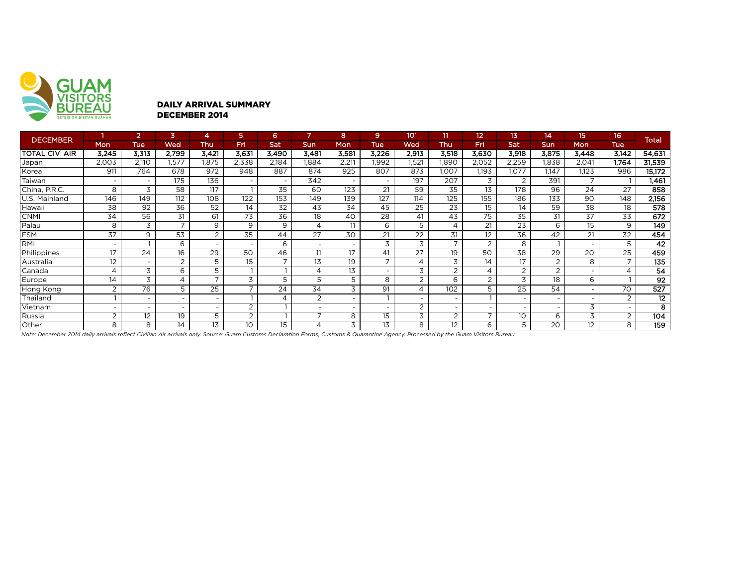

#### DAILY ARRIVAL SUMMARY DECEMBER 2014

| <b>DECEMBER</b> |                | $\overline{2}$ | 3              | 4                        | 5.              | 6                        | 7              | 8      | 9.                       | 10 <sup>r</sup>          | 11                       | 12             | 13                       | 14    | 15 <sub>15</sub>         | 16 <sup>1</sup> | <b>Total</b> |
|-----------------|----------------|----------------|----------------|--------------------------|-----------------|--------------------------|----------------|--------|--------------------------|--------------------------|--------------------------|----------------|--------------------------|-------|--------------------------|-----------------|--------------|
|                 | <b>Mon</b>     | <b>Tue</b>     | Wed            | Thu                      | Fri             | Sat                      | Sun            | Mon    | <b>Tue</b>               | Wed                      | Thu                      | Fri            | Sat                      | Sun   | <b>Mon</b>               | <b>Tue</b>      |              |
| TOTAL CIV' AIR  | 3,245          | 3,313          | 2,799          | 3,421                    | 3,631           | 3,490                    | 3,481          | 3,581  | 3,226                    | 2,913                    | 3,518                    | 3,630          | 3,918                    | 3,875 | 3,448                    | 3,142           | 54,631       |
| Japan           | 2,003          | 2,110          | 1,577          | 1,875                    | 2,338           | 2,184                    | 1.884          | 2,211  | .992                     | 1,521                    | 1.890                    | 2,052          | 2,259                    | 1.838 | 2,041                    | 1.764           | 31,539       |
| Korea           | 911            | 764            | 678            | 972                      | 948             | 887                      | 874            | 925    | 807                      | 873                      | 1.007                    | 1,193          | 1.077                    | 1.147 | 1.123                    | 986             | 15,172       |
| Taiwan          |                |                | 175            | 136                      | ٠               | $\overline{\phantom{a}}$ | 342            | $\sim$ |                          | 197                      | 207                      | 3              | 2                        | 391   | $\overline{\phantom{a}}$ |                 | 1,461        |
| China, P.R.C.   | 8              | 3              | 58             | 117                      | -1              | 35                       | 60             | 123    | 21                       | 59                       | 35                       | 13             | 178                      | 96    | 24                       | 27              | 858          |
| U.S. Mainland   | 146            | 149            | 112            | 108                      | 122             | 153                      | 149            | 139    | 127                      | 114                      | 125                      | 155            | 186                      | 133   | 90                       | 148             | 2,156        |
| Hawaii          | 38             | 92             | 36             | 52                       | 14              | 32                       | 43             | 34     | 45                       | 25                       | 23                       | 15             | 14                       | 59    | 38                       | 18              | 578          |
| <b>CNMI</b>     | 34             | 56             | 31             | 61                       | 73              | 36                       | 18             | 40     | 28                       | 41                       | 43                       | 75             | 35                       | 31    | 37                       | 33              | 672          |
| Palau           | 8              | 3              | $\overline{7}$ | 9                        | 9               | 9                        | $\overline{4}$ | 11     | 6                        | 5                        | $\Delta$                 | 21             | 23                       | 6     | 15                       | 9               | 149          |
| FSM             | 37             | 9              | 53             | $\overline{2}$           | 35              | 44                       | 27             | 30     | 21                       | 22                       | 31                       | 12             | 36                       | 42    | 21                       | 32              | 454          |
| RMI             |                |                | 6              | $\overline{\phantom{a}}$ | ٠               | 6                        | $\sim$         | $\sim$ | 3                        | 3                        | ⇁                        | $\overline{2}$ | 8                        |       |                          | 5               | 42           |
| Philippines     | 17             | 24             | 16             | 29                       | 50              | 46                       | 11             | 17     | 41                       | 27                       | 19                       | 50             | 38                       | 29    | 20                       | 25              | 459          |
| Australia       | 12             | -              | $\overline{2}$ | 5                        | 15              | $\overline{ }$           | 13             | 19     | $\overline{\phantom{a}}$ | 4                        | 3                        | 14             | 17                       | 2     | 8                        |                 | 135          |
| Canada          | 4              | 3              | 6              | 5                        | ٠               |                          | 4              | 13     | $\overline{\phantom{a}}$ | 3                        | 2                        | 4              | 2                        | 2     |                          | 4               | 54           |
| Europe          | 14             | 3              | $\overline{4}$ | $\overline{7}$           | 3               | 5                        | 5              | 5      | 8                        | $\overline{2}$           | 6                        | 2              | 3                        | 18    | 6                        |                 | 92           |
| Hong Kong       | 2              | 76             | 5              | $\overline{25}$          | $\bar{z}$       | 24                       | 34             | 3      | 91                       | $\overline{4}$           | 102                      | 5              | 25                       | 54    |                          | 70              | 527          |
| Thailand        |                | <b>1</b>       | <b>.</b>       | $\overline{\phantom{a}}$ |                 | 4                        | $\overline{2}$ | $\sim$ |                          | $\overline{\phantom{a}}$ | $\overline{\phantom{a}}$ |                | ٠.                       | -     |                          | 2               | 12           |
| Vietnam         |                |                |                |                          | $\overline{2}$  |                          | $\sim$         | $\sim$ |                          | $\overline{2}$           |                          |                | $\overline{\phantom{a}}$ |       | 3                        |                 | 8            |
| Russia          | $\overline{2}$ | 12             | 19             | 5                        | 2               |                          | $\overline{7}$ | 8      | 15                       | 3                        | $\overline{2}$           | -              | 10                       | 6     | 3                        | 2               | 104          |
| Other           | 8              | 8              | 14             | 13                       | 10 <sup>°</sup> | 15                       | 4              | 3      | 13                       | 8                        | $12 \overline{ }$        | 6              | 5                        | 20    | 12                       | 8               | 159          |

*Note: December 2014 daily arrivals reflect Civilian Air arrivals only. Source: Guam Customs Declaration Forms, Customs & Quarantine Agency. Processed by the Guam Visitors Bureau.*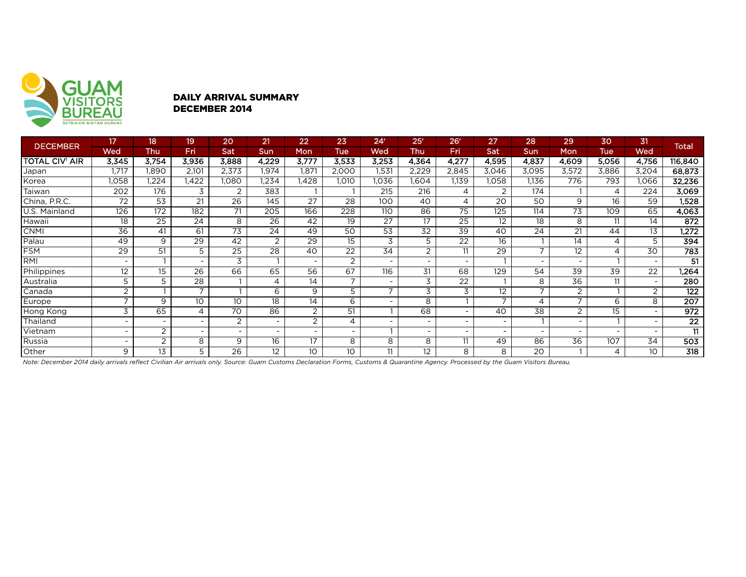

#### DAILY ARRIVAL SUMMARY DECEMBER 2014

| <b>DECEMBER</b>       | 17                       | 18 <sup>1</sup> | 19    | 20             | 21                       | 22                       | 23                       | 24 <sup>r</sup>          | 25 <sup>r</sup>          | 26 <sup>r</sup>          | 27                       | 28    | 29             | 30         | 31                       | <b>Total</b>    |
|-----------------------|--------------------------|-----------------|-------|----------------|--------------------------|--------------------------|--------------------------|--------------------------|--------------------------|--------------------------|--------------------------|-------|----------------|------------|--------------------------|-----------------|
|                       | Wed                      | Thu             | Fri   | Sat            | <b>Sun</b>               | Mon                      | Tue                      | Wed                      | Thu                      | Fri                      | Sat                      | Sun   | Mon            | <b>Tue</b> | <b>Wed</b>               |                 |
| <b>TOTAL CIV' AIR</b> | 3,345                    | 3,754           | 3,936 | 3,888          | 4.229                    | 3,777                    | 3,533                    | 3,253                    | 4,364                    | 4,277                    | 4,595                    | 4,837 | 4,609          | 5,056      | 4,756                    | 116,840         |
| Japan                 | 1,717                    | 1,890           | 2,101 | 2,373          | 1,974                    | 1,871                    | 2,000                    | 1,531                    | 2,229                    | 2,845                    | 3,046                    | 3,095 | 3,572          | 3,886      | 3,204                    | 68,873          |
| Korea                 | .058                     | ,224            | ,422  | 1.080          | .234                     | .428                     | <b>.010</b>              | I.036                    | .604                     | 1,139                    | 1,058                    | 1,136 | 776            | 793        | ,066                     | 32,236          |
| Taiwan                | 202                      | 176             | 3     | 2              | 383                      |                          |                          | 215                      | 216                      | 4                        | 2                        | 174   |                | 4          | 224                      | 3,069           |
| China, P.R.C.         | 72                       | 53              | 21    | 26             | 145                      | 27                       | 28                       | 100                      | 40                       | 4                        | 20                       | 50    | 9              | 16         | 59                       | 1,528           |
| U.S. Mainland         | 126                      | 172             | 182   | 71             | 205                      | 166                      | 228                      | 110                      | 86                       | $\overline{75}$          | 125                      | 114   | 73             | 109        | 65                       | 4,063           |
| Hawaii                | 18                       | 25              | 24    | 8              | 26                       | 42                       | 19                       | 27                       | 17                       | $\overline{25}$          | 12                       | 18    | 8              | 11         | 14                       | 872             |
| <b>CNMI</b>           | 36                       | 41              | 61    | 73             | 24                       | 49                       | 50                       | 53                       | 32                       | 39                       | 40                       | 24    | 21             | 44         | 13                       | 1,272           |
| Palau                 | 49                       | 9               | 29    | 42             | 2                        | 29                       | 15                       | 3                        | 5                        | $\overline{22}$          | 16                       |       | 14             | 4          | 5                        | 394             |
| <b>FSM</b>            | 29                       | 51              | 5     | 25             | 28                       | 40                       | 22                       | 34                       | 2                        | 11                       | 29                       | ⇁     | 12             | 4          | 30                       | 783             |
| RMI                   | $\overline{\phantom{a}}$ |                 |       | 3              |                          | $\overline{\phantom{a}}$ | 2                        | $\overline{\phantom{a}}$ | $\overline{\phantom{a}}$ | $\overline{\phantom{a}}$ |                          |       |                |            | $\overline{\phantom{0}}$ | 51              |
| Philippines           | 12                       | 15              | 26    | 66             | 65                       | 56                       | 67                       | 116                      | 31                       | 68                       | 129                      | 54    | 39             | 39         | 22                       | 1,264           |
| Australia             | 5                        | 5               | 28    |                |                          | 14                       | $\overline{\phantom{a}}$ | $\overline{\phantom{a}}$ | 3                        | 22                       |                          | 8     | 36             | 11         | $\overline{\phantom{0}}$ | 280             |
| Canada                | $\overline{2}$           |                 |       |                | 6                        | 9                        | 5                        | $\overline{\phantom{a}}$ | 3                        | 3                        | 12                       |       | $\overline{2}$ |            | $\overline{2}$           | 122             |
| Europe                | $\overline{\phantom{0}}$ | 9               | 10    | 10             | 18                       | 14                       | 6                        | $\overline{\phantom{a}}$ | 8                        |                          | $\overline{\phantom{0}}$ | 4     | ⇁              | 6          | 8                        | 207             |
| Hong Kong             | 3                        | 65              | 4     | 70             | 86                       | 2                        | 51                       |                          | 68                       | $\overline{\phantom{0}}$ | 40                       | 38    | $\overline{2}$ | $15\,$     | ۰.                       | 972             |
| Thailand              | $\overline{\phantom{a}}$ |                 |       | $\overline{2}$ | $\overline{\phantom{a}}$ | $\overline{2}$           | 4                        | $\overline{\phantom{a}}$ | $\overline{\phantom{0}}$ | $\overline{\phantom{0}}$ |                          |       |                |            | $\overline{\phantom{0}}$ | $\overline{22}$ |
| Vietnam               | $\overline{\phantom{a}}$ | 2               |       | $\sim$         | $\overline{\phantom{a}}$ | $\overline{\phantom{0}}$ | $\overline{\phantom{a}}$ |                          | $\overline{\phantom{a}}$ | $\overline{\phantom{0}}$ |                          |       |                |            | $\overline{\phantom{0}}$ | 11              |
| Russia                | -                        | $\overline{2}$  | 8     | 9              | 16                       | 17                       | 8                        | 8                        | 8                        | 11                       | 49                       | 86    | 36             | 107        | 34                       | 503             |
| Other                 | 9                        | 13              | 5     | 26             | 12                       | 10 <sup>°</sup>          | 10 <sup>°</sup>          | 11                       | 12                       | 8                        | 8                        | 20    |                | 4          | 10 <sup>°</sup>          | 318             |

*Note: December 2014 daily arrivals reflect Civilian Air arrivals only. Source: Guam Customs Declaration Forms, Customs & Quarantine Agency. Processed by the Guam Visitors Bureau.*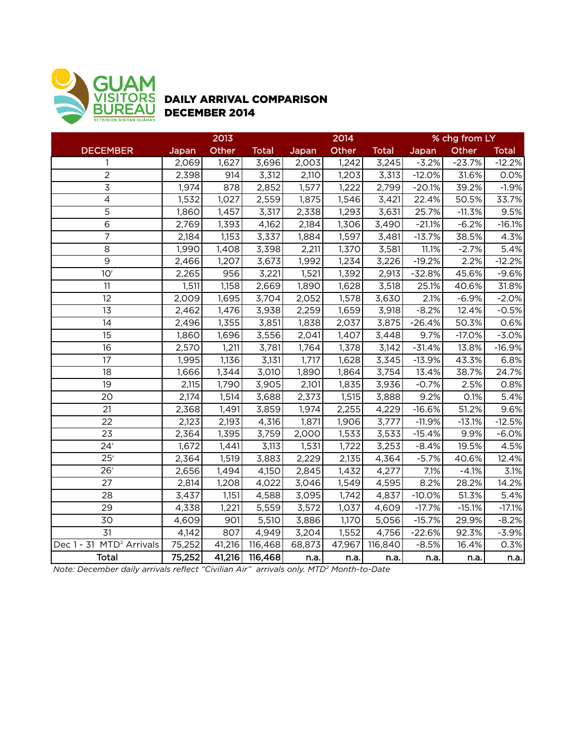

## DAILY ARRIVAL COMPARISON DECEMBER 2014

|                                      | 2013   |        |              |        | 2014   |              | % chg from LY |          |              |  |
|--------------------------------------|--------|--------|--------------|--------|--------|--------------|---------------|----------|--------------|--|
| <b>DECEMBER</b>                      | Japan  | Other  | <b>Total</b> | Japan  | Other  | <b>Total</b> | Japan         | Other    | <b>Total</b> |  |
| 1                                    | 2,069  | 1,627  | 3,696        | 2,003  | 1,242  | 3,245        | $-3.2%$       | $-23.7%$ | $-12.2%$     |  |
| $\overline{2}$                       | 2,398  | 914    | 3,312        | 2,110  | 1,203  | 3,313        | $-12.0%$      | 31.6%    | 0.0%         |  |
| $\mathsf 3$                          | 1,974  | 878    | 2,852        | 1,577  | 1,222  | 2,799        | $-20.1%$      | 39.2%    | $-1.9%$      |  |
| $\overline{4}$                       | 1,532  | 1,027  | 2,559        | 1,875  | 1,546  | 3,421        | 22.4%         | 50.5%    | 33.7%        |  |
| 5                                    | 1,860  | 1,457  | 3,317        | 2,338  | 1,293  | 3,631        | 25.7%         | $-11.3%$ | 9.5%         |  |
| $\overline{6}$                       | 2,769  | 1,393  | 4,162        | 2,184  | 1,306  | 3,490        | $-21.1%$      | $-6.2%$  | $-16.1%$     |  |
| $\overline{7}$                       | 2,184  | 1,153  | 3,337        | 1,884  | 1,597  | 3,481        | $-13.7%$      | 38.5%    | 4.3%         |  |
| 8                                    | 1,990  | 1,408  | 3,398        | 2,211  | 1,370  | 3,581        | 11.1%         | $-2.7%$  | 5.4%         |  |
| 9                                    | 2,466  | 1,207  | 3,673        | 1,992  | 1,234  | 3,226        | $-19.2%$      | 2.2%     | $-12.2%$     |  |
| 10 <sup>r</sup>                      | 2,265  | 956    | 3,221        | 1,521  | 1,392  | 2,913        | $-32.8%$      | 45.6%    | $-9.6%$      |  |
| 11                                   | 1,511  | 1,158  | 2,669        | 1,890  | 1,628  | 3,518        | 25.1%         | 40.6%    | 31.8%        |  |
| 12                                   | 2,009  | 1,695  | 3,704        | 2,052  | 1,578  | 3,630        | 2.1%          | $-6.9%$  | $-2.0%$      |  |
| $\overline{13}$                      | 2,462  | 1,476  | 3,938        | 2,259  | 1,659  | 3,918        | $-8.2%$       | 12.4%    | $-0.5%$      |  |
| 14                                   | 2,496  | 1,355  | 3,851        | 1,838  | 2,037  | 3,875        | $-26.4%$      | 50.3%    | 0.6%         |  |
| 15                                   | 1,860  | 1,696  | 3,556        | 2,041  | 1,407  | 3,448        | 9.7%          | $-17.0%$ | $-3.0%$      |  |
| 16                                   | 2,570  | 1,211  | 3,781        | 1,764  | 1,378  | 3,142        | $-31.4%$      | 13.8%    | $-16.9%$     |  |
| 17                                   | 1,995  | 1,136  | 3,131        | 1,717  | 1,628  | 3,345        | $-13.9%$      | 43.3%    | 6.8%         |  |
| 18                                   | 1,666  | 1,344  | 3,010        | 1,890  | 1,864  | 3,754        | 13.4%         | 38.7%    | 24.7%        |  |
| 19                                   | 2,115  | 1,790  | 3,905        | 2,101  | 1,835  | 3,936        | $-0.7%$       | 2.5%     | 0.8%         |  |
| 20                                   | 2,174  | 1,514  | 3,688        | 2,373  | 1,515  | 3,888        | 9.2%          | 0.1%     | 5.4%         |  |
| 21                                   | 2,368  | 1,491  | 3,859        | 1,974  | 2,255  | 4,229        | $-16.6%$      | 51.2%    | 9.6%         |  |
| 22                                   | 2,123  | 2,193  | 4,316        | 1,871  | 1,906  | 3,777        | $-11.9%$      | $-13.1%$ | $-12.5%$     |  |
| 23                                   | 2,364  | 1,395  | 3,759        | 2,000  | 1,533  | 3,533        | $-15.4%$      | 9.9%     | $-6.0%$      |  |
| 24 <sup>r</sup>                      | 1,672  | 1,441  | 3,113        | 1,531  | 1,722  | 3,253        | $-8.4%$       | 19.5%    | 4.5%         |  |
| 25 <sup>r</sup>                      | 2,364  | 1,519  | 3,883        | 2,229  | 2,135  | 4,364        | $-5.7%$       | 40.6%    | 12.4%        |  |
| 26 <sup>r</sup>                      | 2,656  | 1,494  | 4,150        | 2,845  | 1,432  | 4,277        | 7.1%          | $-4.1%$  | 3.1%         |  |
| 27                                   | 2,814  | 1,208  | 4,022        | 3,046  | 1,549  | 4,595        | 8.2%          | 28.2%    | 14.2%        |  |
| 28                                   | 3,437  | 1,151  | 4,588        | 3,095  | 1,742  | 4,837        | $-10.0%$      | 51.3%    | 5.4%         |  |
| 29                                   | 4,338  | 1,221  | 5,559        | 3,572  | 1,037  | 4,609        | $-17.7%$      | $-15.1%$ | $-17.1%$     |  |
| 30                                   | 4,609  | 901    | 5,510        | 3,886  | 1,170  | 5,056        | $-15.7%$      | 29.9%    | $-8.2%$      |  |
| 31                                   | 4,142  | 807    | 4,949        | 3,204  | 1,552  | 4,756        | $-22.6%$      | 92.3%    | $-3.9%$      |  |
| Dec 1 - 31 MTD <sup>2</sup> Arrivals | 75,252 | 41,216 | 116,468      | 68,873 | 47,967 | 116,840      | $-8.5%$       | 16.4%    | 0.3%         |  |
| <b>Total</b>                         | 75,252 | 41,216 | 116,468      | n.a.   | n.a.   | n.a.         | n.a.          | n.a.     | n.a.         |  |

*Note: December daily arrivals reflect "Civilian Air" arrivals only. MTD2 Month-to-Date*